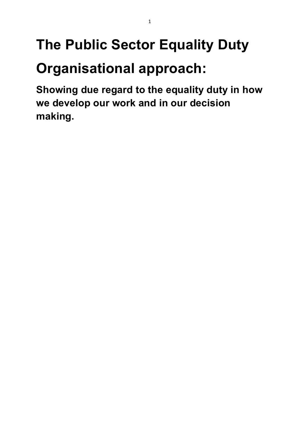# **The Public Sector Equality Duty Organisational approach:**

1

**Showing due regard to the equality duty in how we develop our work and in our decision making.**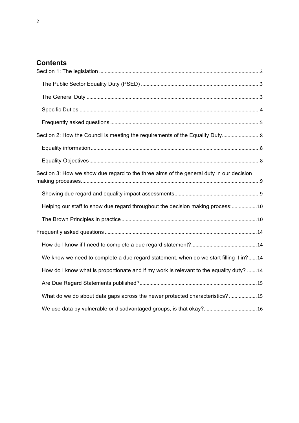# **Contents**

| Section 2: How the Council is meeting the requirements of the Equality Duty             |  |
|-----------------------------------------------------------------------------------------|--|
|                                                                                         |  |
|                                                                                         |  |
| Section 3: How we show due regard to the three aims of the general duty in our decision |  |
|                                                                                         |  |
| Helping our staff to show due regard throughout the decision making process:10          |  |
|                                                                                         |  |
|                                                                                         |  |
|                                                                                         |  |
| We know we need to complete a due regard statement, when do we start filling it in?14   |  |
| How do I know what is proportionate and if my work is relevant to the equality duty? 14 |  |
|                                                                                         |  |
| What do we do about data gaps across the newer protected characteristics?15             |  |
|                                                                                         |  |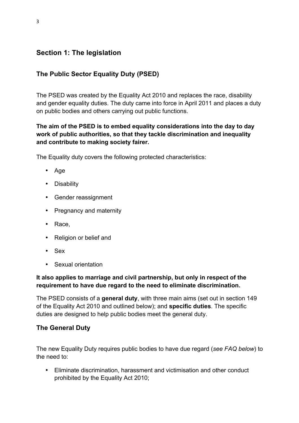# **Section 1: The legislation**

## **The Public Sector Equality Duty (PSED)**

The PSED was created by the Equality Act 2010 and replaces the race, disability and gender equality duties. The duty came into force in April 2011 and places a duty on public bodies and others carrying out public functions.

## **The aim of the PSED is to embed equality considerations into the day to day work of public authorities, so that they tackle discrimination and inequality and contribute to making society fairer.**

The Equality duty covers the following protected characteristics:

- Age
- Disability
- Gender reassignment
- Pregnancy and maternity
- Race,
- Religion or belief and
- Sex
- Sexual orientation

#### **It also applies to marriage and civil partnership, but only in respect of the requirement to have due regard to the need to eliminate discrimination.**

The PSED consists of a **general duty**, with three main aims (set out in section 149 of the Equality Act 2010 and outlined below); and **specific duties**. The specific duties are designed to help public bodies meet the general duty.

## **The General Duty**

The new Equality Duty requires public bodies to have due regard (*see FAQ below*) to the need to:

• Eliminate discrimination, harassment and victimisation and other conduct prohibited by the Equality Act 2010;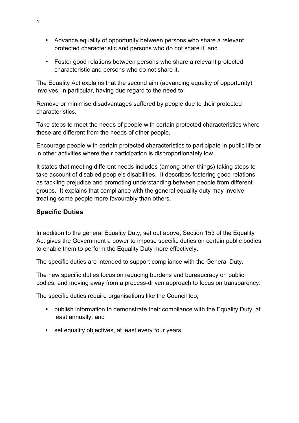- Advance equality of opportunity between persons who share a relevant protected characteristic and persons who do not share it; and
- Foster good relations between persons who share a relevant protected characteristic and persons who do not share it.

The Equality Act explains that the second aim (advancing equality of opportunity) involves, in particular, having due regard to the need to:

Remove or minimise disadvantages suffered by people due to their protected characteristics.

Take steps to meet the needs of people with certain protected characteristics where these are different from the needs of other people.

Encourage people with certain protected characteristics to participate in public life or in other activities where their participation is disproportionately low.

It states that meeting different needs includes (among other things) taking steps to take account of disabled people's disabilities. It describes fostering good relations as tackling prejudice and promoting understanding between people from different groups. It explains that compliance with the general equality duty may involve treating some people more favourably than others.

#### **Specific Duties**

In addition to the general Equality Duty, set out above, Section 153 of the Equality Act gives the Government a power to impose specific duties on certain public bodies to enable them to perform the Equality Duty more effectively.

The specific duties are intended to support compliance with the General Duty.

The new specific duties focus on reducing burdens and bureaucracy on public bodies, and moving away from a process-driven approach to focus on transparency.

The specific duties require organisations like the Council too;

- publish information to demonstrate their compliance with the Equality Duty, at least annually; and
- set equality objectives, at least every four years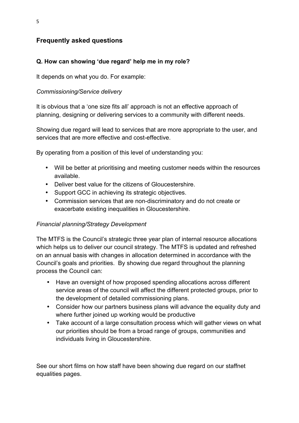## **Frequently asked questions**

#### **Q. How can showing 'due regard' help me in my role?**

It depends on what you do. For example:

#### *Commissioning/Service delivery*

It is obvious that a 'one size fits all' approach is not an effective approach of planning, designing or delivering services to a community with different needs.

Showing due regard will lead to services that are more appropriate to the user, and services that are more effective and cost-effective.

By operating from a position of this level of understanding you:

- Will be better at prioritising and meeting customer needs within the resources available.
- Deliver best value for the citizens of Gloucestershire.
- Support GCC in achieving its strategic objectives.
- Commission services that are non-discriminatory and do not create or exacerbate existing inequalities in Gloucestershire.

#### *Financial planning/Strategy Development*

The MTFS is the Council's strategic three year plan of internal resource allocations which helps us to deliver our council strategy. The MTFS is updated and refreshed on an annual basis with changes in allocation determined in accordance with the Council's goals and priorities. By showing due regard throughout the planning process the Council can:

- Have an oversight of how proposed spending allocations across different service areas of the council will affect the different protected groups, prior to the development of detailed commissioning plans.
- Consider how our partners business plans will advance the equality duty and where further joined up working would be productive
- Take account of a large consultation process which will gather views on what our priorities should be from a broad range of groups, communities and individuals living in Gloucestershire.

See our short films on how staff have been showing due regard on our staffnet equalities pages.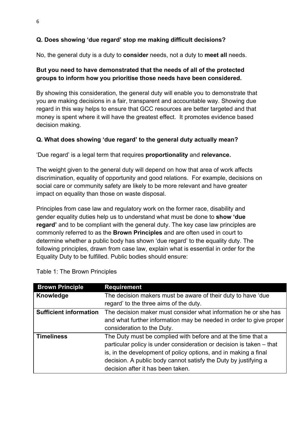## **Q. Does showing 'due regard' stop me making difficult decisions?**

No, the general duty is a duty to **consider** needs, not a duty to **meet all** needs.

#### **But you need to have demonstrated that the needs of all of the protected groups to inform how you prioritise those needs have been considered.**

By showing this consideration, the general duty will enable you to demonstrate that you are making decisions in a fair, transparent and accountable way. Showing due regard in this way helps to ensure that GCC resources are better targeted and that money is spent where it will have the greatest effect. It promotes evidence based decision making.

#### **Q. What does showing 'due regard' to the general duty actually mean?**

'Due regard' is a legal term that requires **proportionality** and **relevance.**

The weight given to the general duty will depend on how that area of work affects discrimination, equality of opportunity and good relations. For example, decisions on social care or community safety are likely to be more relevant and have greater impact on equality than those on waste disposal.

Principles from case law and regulatory work on the former race, disability and gender equality duties help us to understand what must be done to **show 'due regard'** and to be compliant with the general duty. The key case law principles are commonly referred to as the **Brown Principles** and are often used in court to determine whether a public body has shown 'due regard' to the equality duty. The following principles, drawn from case law, explain what is essential in order for the Equality Duty to be fulfilled. Public bodies should ensure:

| <b>Brown Principle</b>        | <b>Requirement</b>                                                   |
|-------------------------------|----------------------------------------------------------------------|
| Knowledge                     | The decision makers must be aware of their duty to have 'due         |
|                               | regard' to the three aims of the duty.                               |
| <b>Sufficient information</b> | The decision maker must consider what information he or she has      |
|                               | and what further information may be needed in order to give proper   |
|                               | consideration to the Duty.                                           |
| <b>Timeliness</b>             | The Duty must be complied with before and at the time that a         |
|                               | particular policy is under consideration or decision is taken – that |
|                               | is, in the development of policy options, and in making a final      |
|                               | decision. A public body cannot satisfy the Duty by justifying a      |
|                               | decision after it has been taken.                                    |

Table 1: The Brown Principles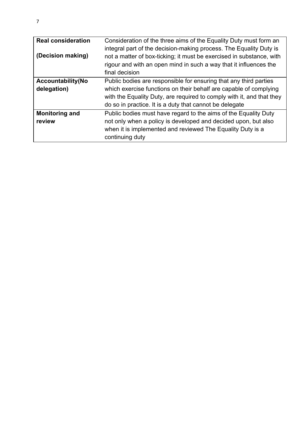| <b>Real consideration</b><br>(Decision making) | Consideration of the three aims of the Equality Duty must form an<br>integral part of the decision-making process. The Equality Duty is<br>not a matter of box-ticking; it must be exercised in substance, with<br>rigour and with an open mind in such a way that it influences the<br>final decision |
|------------------------------------------------|--------------------------------------------------------------------------------------------------------------------------------------------------------------------------------------------------------------------------------------------------------------------------------------------------------|
| <b>Accountability(No</b><br>delegation)        | Public bodies are responsible for ensuring that any third parties<br>which exercise functions on their behalf are capable of complying<br>with the Equality Duty, are required to comply with it, and that they<br>do so in practice. It is a duty that cannot be delegate                             |
| <b>Monitoring and</b><br>review                | Public bodies must have regard to the aims of the Equality Duty<br>not only when a policy is developed and decided upon, but also<br>when it is implemented and reviewed The Equality Duty is a<br>continuing duty                                                                                     |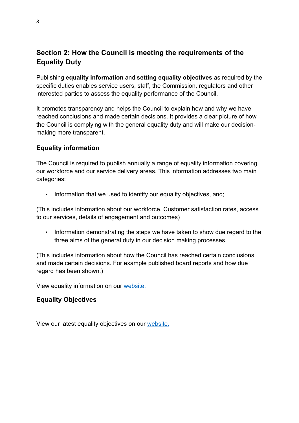# **Section 2: How the Council is meeting the requirements of the Equality Duty**

Publishing **equality information** and **setting equality objectives** as required by the specific duties enables service users, staff, the Commission, regulators and other interested parties to assess the equality performance of the Council.

It promotes transparency and helps the Council to explain how and why we have reached conclusions and made certain decisions. It provides a clear picture of how the Council is complying with the general equality duty and will make our decisionmaking more transparent.

## **Equality information**

The Council is required to publish annually a range of equality information covering our workforce and our service delivery areas. This information addresses two main categories:

• Information that we used to identify our equality objectives, and;

(This includes information about our workforce, Customer satisfaction rates, access to our services, details of engagement and outcomes)

• Information demonstrating the steps we have taken to show due regard to the three aims of the general duty in our decision making processes.

(This includes information about how the Council has reached certain conclusions and made certain decisions. For example published board reports and how due regard has been shown.)

View equality information on our website.

## **Equality Objectives**

View our latest equality objectives on our website.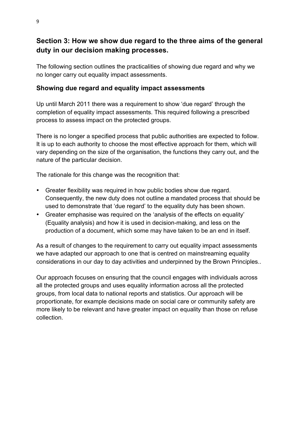# **Section 3: How we show due regard to the three aims of the general duty in our decision making processes.**

The following section outlines the practicalities of showing due regard and why we no longer carry out equality impact assessments.

## **Showing due regard and equality impact assessments**

Up until March 2011 there was a requirement to show 'due regard' through the completion of equality impact assessments. This required following a prescribed process to assess impact on the protected groups.

There is no longer a specified process that public authorities are expected to follow. It is up to each authority to choose the most effective approach for them, which will vary depending on the size of the organisation, the functions they carry out, and the nature of the particular decision.

The rationale for this change was the recognition that:

- Greater flexibility was required in how public bodies show due regard. Consequently, the new duty does not outline a mandated process that should be used to demonstrate that 'due regard' to the equality duty has been shown.
- Greater emphasise was required on the 'analysis of the effects on equality' (Equality analysis) and how it is used in decision-making, and less on the production of a document, which some may have taken to be an end in itself.

As a result of changes to the requirement to carry out equality impact assessments we have adapted our approach to one that is centred on mainstreaming equality considerations in our day to day activities and underpinned by the Brown Principles..

Our approach focuses on ensuring that the council engages with individuals across all the protected groups and uses equality information across all the protected groups, from local data to national reports and statistics. Our approach will be proportionate, for example decisions made on social care or community safety are more likely to be relevant and have greater impact on equality than those on refuse collection.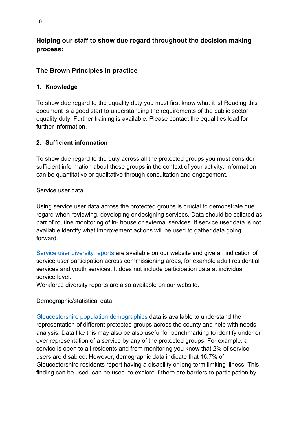## **Helping our staff to show due regard throughout the decision making process:**

## **The Brown Principles in practice**

#### **1. Knowledge**

To show due regard to the equality duty you must first know what it is! Reading this document is a good start to understanding the requirements of the public sector equality duty. Further training is available. Please contact the equalities lead for further information.

#### **2. Sufficient information**

To show due regard to the duty across all the protected groups you must consider sufficient information about those groups in the context of your activity. Information can be quantitative or qualitative through consultation and engagement.

Service user data

Using service user data across the protected groups is crucial to demonstrate due regard when reviewing, developing or designing services. Data should be collated as part of routine monitoring of in- house or external services. If service user data is not available identify what improvement actions will be used to gather data going forward.

Service user diversity reports are available on our website and give an indication of service user participation across commissioning areas, for example adult residential services and youth services. It does not include participation data at individual service level.

Workforce diversity reports are also available on our website.

## Demographic/statistical data

Gloucestershire population demographics data is available to understand the representation of different protected groups across the county and help with needs analysis. Data like this may also be also useful for benchmarking to identify under or over representation of a service by any of the protected groups. For example, a service is open to all residents and from monitoring you know that 2% of service users are disabled: However, demographic data indicate that 16.7% of Gloucestershire residents report having a disability or long term limiting illness. This finding can be used can be used to explore if there are barriers to participation by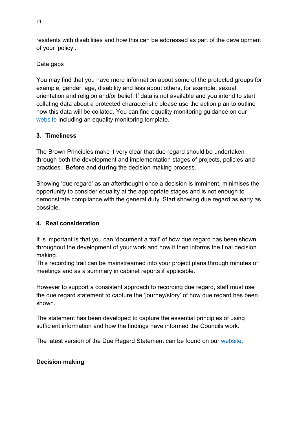residents with disabilities and how this can be addressed as part of the development of your 'policy'.

Data gaps

You may find that you have more information about some of the protected groups for example, gender, age, disability and less about others, for example, sexual orientation and religion and/or belief. If data is not available and you intend to start collating data about a protected characteristic please use the action plan to outline how this data will be collated. You can find equality monitoring guidance on our website including an equality monitoring template.

#### **3. Timeliness**

The Brown Principles make it very clear that due regard should be undertaken through both the development and implementation stages of projects, policies and practices. **Before** and **during** the decision making process.

Showing 'due regard' as an afterthought once a decision is imminent, minimises the opportunity to consider equality at the appropriate stages and is not enough to demonstrate compliance with the general duty. Start showing due regard as early as possible.

## **4. Real consideration**

It is important is that you can 'document a trail' of how due regard has been shown throughout the development of your work and how it then informs the final decision making.

This recording trail can be mainstreamed into your project plans through minutes of meetings and as a summary in cabinet reports if applicable.

However to support a consistent approach to recording due regard, staff must use the due regard statement to capture the 'journey/story' of how due regard has been shown.

The statement has been developed to capture the essential principles of using sufficient information and how the findings have informed the Councils work.

The latest version of the Due Regard Statement can be found on our website.

## **Decision making**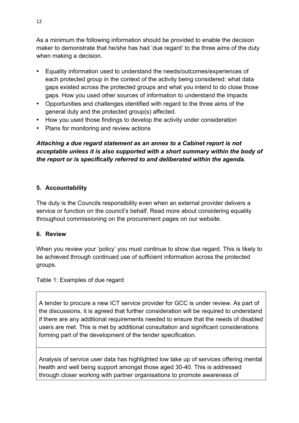As a minimum the following information should be provided to enable the decision maker to demonstrate that he/she has had 'due regard' to the three aims of the duty when making a decision.

- Equality information used to understand the needs/outcomes/experiences of each protected group in the context of the activity being considered: what data gaps existed across the protected groups and what you intend to do close those gaps. How you used other sources of information to understand the impacts
- Opportunities and challenges identified with regard to the three aims of the general duty and the protected group(s) affected.
- How you used those findings to develop the activity under consideration
- Plans for monitoring and review actions

## *Attaching a due regard statement as an annex to a Cabinet report is not acceptable unless it is also supported with a short summary within the body of the report or is specifically referred to and deliberated within the agenda.*

#### **5. Accountability**

The duty is the Councils responsibility even when an external provider delivers a service or function on the council's behalf. Read more about considering equality throughout commissioning on the procurement pages on our website.

#### **6. Review**

When you review your 'policy' you must continue to show due regard. This is likely to be achieved through continued use of sufficient information across the protected groups.

#### Table 1: Examples of due regard

A tender to procure a new ICT service provider for GCC is under review. As part of the discussions, it is agreed that further consideration will be required to understand if there are any additional requirements needed to ensure that the needs of disabled users are met. This is met by additional consultation and significant considerations forming part of the development of the tender specification.

Analysis of service user data has highlighted low take up of services offering mental health and well being support amongst those aged 30-40. This is addressed through closer working with partner organisations to promote awareness of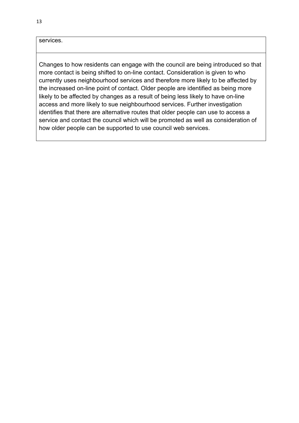services.

Changes to how residents can engage with the council are being introduced so that more contact is being shifted to on-line contact. Consideration is given to who currently uses neighbourhood services and therefore more likely to be affected by the increased on-line point of contact. Older people are identified as being more likely to be affected by changes as a result of being less likely to have on-line access and more likely to sue neighbourhood services. Further investigation identifies that there are alternative routes that older people can use to access a service and contact the council which will be promoted as well as consideration of how older people can be supported to use council web services.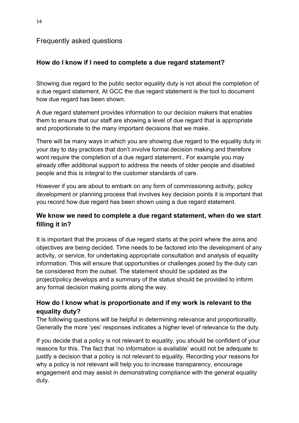## Frequently asked questions

## **How do I know if I need to complete a due regard statement?**

Showing due regard to the public sector equality duty is not about the completion of a due regard statement. At GCC the due regard statement is the tool to document how due regard has been shown.

A due regard statement provides information to our decision makers that enables them to ensure that our staff are showing a level of due regard that is appropriate and proportionate to the many important decisions that we make.

There will be many ways in which you are showing due regard to the equality duty in your day to day practices that don't involve formal decision making and therefore wont require the completion of a due regard statement.. For example you may already offer additional support to address the needs of older people and disabled people and this is integral to the customer standards of care.

However if you are about to embark on any form of commissioning activity, policy development or planning process that involves key decision points it is important that you record how due regard has been shown using a due regard statement.

## **We know we need to complete a due regard statement, when do we start filling it in?**

It is important that the process of due regard starts at the point where the aims and objectives are being decided. Time needs to be factored into the development of any activity, or service, for undertaking appropriate consultation and analysis of equality information. This will ensure that opportunities or challenges posed by the duty can be considered from the outset. The statement should be updated as the project/policy develops and a summary of the status should be provided to inform any formal decision making points along the way.

## **How do I know what is proportionate and if my work is relevant to the equality duty?**

The following questions will be helpful in determining relevance and proportionality. Generally the more 'yes' responses indicates a higher level of relevance to the duty.

If you decide that a policy is not relevant to equality, you should be confident of your reasons for this. The fact that 'no information is available' would not be adequate to justify a decision that a policy is not relevant to equality. Recording your reasons for why a policy is not relevant will help you to increase transparency, encourage engagement and may assist in demonstrating compliance with the general equality duty.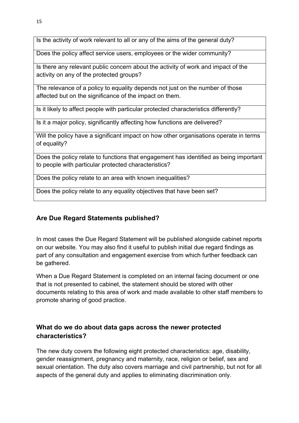Is the activity of work relevant to all or any of the aims of the general duty?

Does the policy affect service users, employees or the wider community?

Is there any relevant public concern about the activity of work and impact of the activity on any of the protected groups?

The relevance of a policy to equality depends not just on the number of those affected but on the significance of the impact on them.

Is it likely to affect people with particular protected characteristics differently?

Is it a major policy, significantly affecting how functions are delivered?

Will the policy have a significant impact on how other organisations operate in terms of equality?

Does the policy relate to functions that engagement has identified as being important to people with particular protected characteristics?

Does the policy relate to an area with known inequalities?

Does the policy relate to any equality objectives that have been set?

## **Are Due Regard Statements published?**

In most cases the Due Regard Statement will be published alongside cabinet reports on our website. You may also find it useful to publish initial due regard findings as part of any consultation and engagement exercise from which further feedback can be gathered.

When a Due Regard Statement is completed on an internal facing document or one that is not presented to cabinet, the statement should be stored with other documents relating to this area of work and made available to other staff members to promote sharing of good practice.

## **What do we do about data gaps across the newer protected characteristics?**

The new duty covers the following eight protected characteristics: age, disability, gender reassignment, pregnancy and maternity, race, religion or belief, sex and sexual orientation. The duty also covers marriage and civil partnership, but not for all aspects of the general duty and applies to eliminating discrimination only.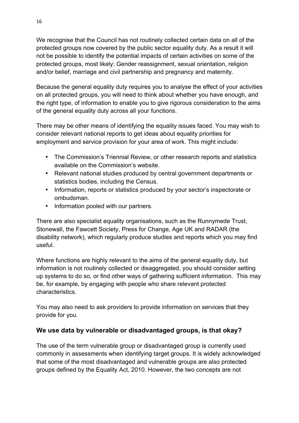We recognise that the Council has not routinely collected certain data on all of the protected groups now covered by the public sector equality duty. As a result it will not be possible to identify the potential impacts of certain activities on some of the protected groups, most likely: Gender reassignment, sexual orientation, religion and/or belief, marriage and civil partnership and pregnancy and maternity.

Because the general equality duty requires you to analyse the effect of your activities on all protected groups, you will need to think about whether you have enough, and the right type, of information to enable you to give rigorous consideration to the aims of the general equality duty across all your functions.

There may be other means of identifying the equality issues faced. You may wish to consider relevant national reports to get ideas about equality priorities for employment and service provision for your area of work. This might include:

- The Commission's Triennial Review, or other research reports and statistics available on the Commission's website.
- Relevant national studies produced by central government departments or statistics bodies, including the Census.
- Information, reports or statistics produced by your sector's inspectorate or ombudsman.
- Information pooled with our partners.

There are also specialist equality organisations, such as the Runnymede Trust, Stonewall, the Fawcett Society, Press for Change, Age UK and RADAR (the disability network), which regularly produce studies and reports which you may find useful.

Where functions are highly relevant to the aims of the general equality duty, but information is not routinely collected or disaggregated, you should consider setting up systems to do so, or find other ways of gathering sufficient information. This may be, for example, by engaging with people who share relevant protected characteristics.

You may also need to ask providers to provide information on services that they provide for you.

## **We use data by vulnerable or disadvantaged groups, is that okay?**

The use of the term vulnerable group or disadvantaged group is currently used commonly in assessments when identifying target groups. It is widely acknowledged that some of the most disadvantaged and vulnerable groups are also protected groups defined by the Equality Act, 2010. However, the two concepts are not